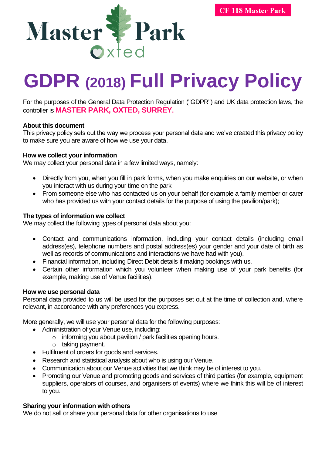

# **GDPR (2018) Full Privacy Policy**

For the purposes of the General Data Protection Regulation ("GDPR") and UK data protection laws, the controller is **MASTER PARK, OXTED, SURREY.** 

#### **About this document**

This privacy policy sets out the way we process your personal data and we've created this privacy policy to make sure you are aware of how we use your data.

## **How we collect your information**

We may collect your personal data in a few limited ways, namely:

- Directly from you, when you fill in park forms, when you make enquiries on our website, or when you interact with us during your time on the park
- From someone else who has contacted us on your behalf (for example a family member or carer who has provided us with your contact details for the purpose of using the pavilion/park);

## **The types of information we collect**

We may collect the following types of personal data about you:

- Contact and communications information, including your contact details (including email address(es), telephone numbers and postal address(es) your gender and your date of birth as well as records of communications and interactions we have had with you).
- Financial information, including Direct Debit details if making bookings with us.
- Certain other information which you volunteer when making use of your park benefits (for example, making use of Venue facilities).

#### **How we use personal data**

Personal data provided to us will be used for the purposes set out at the time of collection and, where relevant, in accordance with any preferences you express.

More generally, we will use your personal data for the following purposes:

- Administration of your Venue use, including:
	- o informing you about pavilion / park facilities opening hours.
	- o taking payment.
- Fulfilment of orders for goods and services.
- Research and statistical analysis about who is using our Venue.
- Communication about our Venue activities that we think may be of interest to you.
- Promoting our Venue and promoting goods and services of third parties (for example, equipment suppliers, operators of courses, and organisers of events) where we think this will be of interest to you.

#### **Sharing your information with others**

We do not sell or share your personal data for other organisations to use